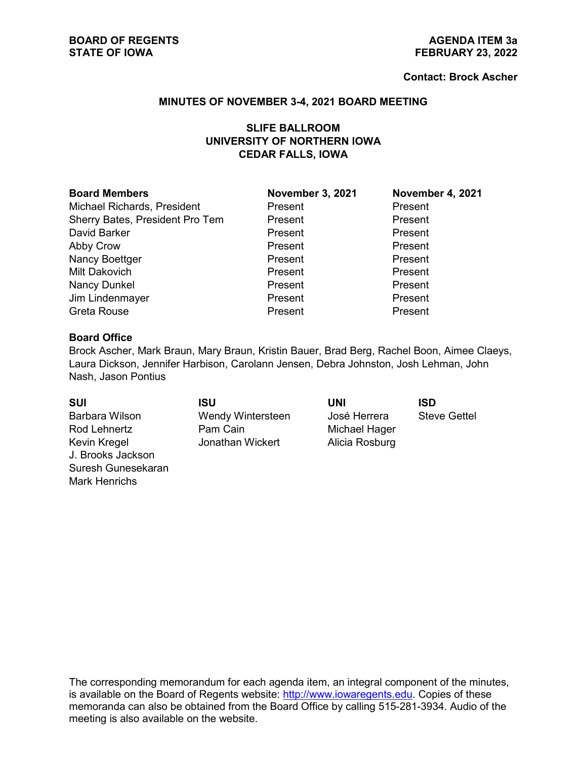#### **Contact: Brock Ascher**

#### **MINUTES OF NOVEMBER 3-4, 2021 BOARD MEETING**

# **SLIFE BALLROOM UNIVERSITY OF NORTHERN IOWA CEDAR FALLS, IOWA**

| <b>Board Members</b> |  |
|----------------------|--|
|----------------------|--|

Michael Richards, President **Present Present Present Present** Sherry Bates, President Pro Tem Present Present Present David Barker **Present** Present Present Present Abby Crow **Present** Present Present Present Nancy Boettger **Present** Present Present Present Milt Dakovich Present Present Nancy Dunkel **Nancy Dunkel** Present Present Present Jim Lindenmayer Present Present Greta Rouse Present Present

**Board Members November 3, 2021 November 4, 2021**

### **Board Office**

Brock Ascher, Mark Braun, Mary Braun, Kristin Bauer, Brad Berg, Rachel Boon, Aimee Claeys, Laura Dickson, Jennifer Harbison, Carolann Jensen, Debra Johnston, Josh Lehman, John Nash, Jason Pontius

| <b>SUI</b>         | ISU                      | UNI            | ISD                 |
|--------------------|--------------------------|----------------|---------------------|
| Barbara Wilson     | <b>Wendy Wintersteen</b> | José Herrera   | <b>Steve Gettel</b> |
| Rod Lehnertz       | Pam Cain                 | Michael Hager  |                     |
| Kevin Kregel       | Jonathan Wickert         | Alicia Rosburg |                     |
| J. Brooks Jackson  |                          |                |                     |
| Suresh Gunesekaran |                          |                |                     |
| Mark Henrichs      |                          |                |                     |

The corresponding memorandum for each agenda item, an integral component of the minutes, is available on the Board of Regents website: [http://www.iowaregents.edu.](http://www.iowaregents.edu/) Copies of these memoranda can also be obtained from the Board Office by calling 515-281-3934. Audio of the meeting is also available on the website.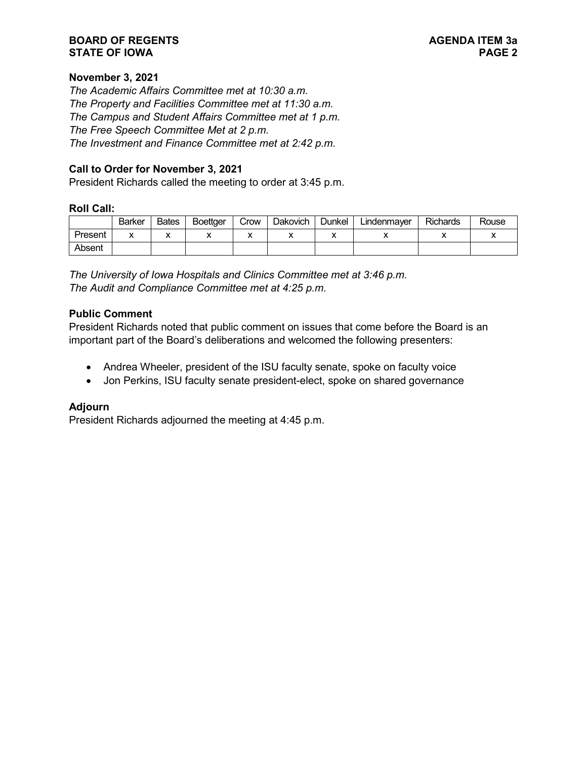## **BOARD OF REGENTS AGENDA ITEM 3a STATE OF IOWA**

# **November 3, 2021**

*The Academic Affairs Committee met at 10:30 a.m. The Property and Facilities Committee met at 11:30 a.m. The Campus and Student Affairs Committee met at 1 p.m. The Free Speech Committee Met at 2 p.m. The Investment and Finance Committee met at 2:42 p.m.*

## **Call to Order for November 3, 2021**

President Richards called the meeting to order at 3:45 p.m.

#### **Roll Call:**

|         | <b>Barker</b> | <b>Bates</b> | <b>Boettaer</b> | Crow | Dakovich | Dunkel | ∟indenmaver | <b>Richards</b> | Rouse |
|---------|---------------|--------------|-----------------|------|----------|--------|-------------|-----------------|-------|
| Present | ́             | v            |                 | ↗    |          |        |             |                 |       |
| Absent  |               |              |                 |      |          |        |             |                 |       |

*The University of Iowa Hospitals and Clinics Committee met at 3:46 p.m. The Audit and Compliance Committee met at 4:25 p.m.*

#### **Public Comment**

President Richards noted that public comment on issues that come before the Board is an important part of the Board's deliberations and welcomed the following presenters:

- Andrea Wheeler, president of the ISU faculty senate, spoke on faculty voice
- Jon Perkins, ISU faculty senate president-elect, spoke on shared governance

## **Adjourn**

President Richards adjourned the meeting at 4:45 p.m.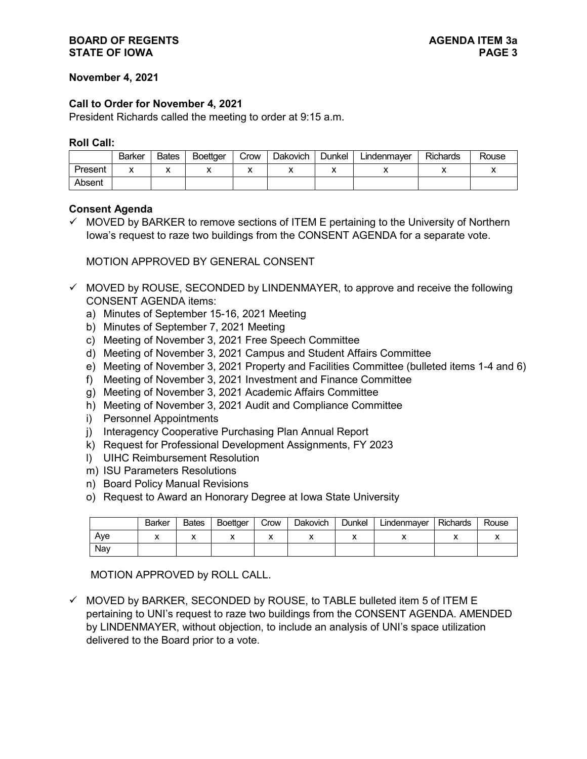## **BOARD OF REGENTS**<br> **BOARD OF REGENTS**<br> **BOARD OF IOWA STATE OF IOWA**

## **November 4, 2021**

### **Call to Order for November 4, 2021**

President Richards called the meeting to order at 9:15 a.m.

#### **Roll Call:**

|         | Barker | <b>Bates</b> | <b>Boettaer</b> | Crow | <b>Dakovich</b> | Dunkel | Lindenmaver | <b>Richards</b> | Rouse |
|---------|--------|--------------|-----------------|------|-----------------|--------|-------------|-----------------|-------|
| Present |        |              |                 | ,,   |                 |        |             |                 |       |
| Absent  |        |              |                 |      |                 |        |             |                 |       |

## **Consent Agenda**

 $\checkmark$  MOVED by BARKER to remove sections of ITEM E pertaining to the University of Northern Iowa's request to raze two buildings from the CONSENT AGENDA for a separate vote.

MOTION APPROVED BY GENERAL CONSENT

- $\checkmark$  MOVED by ROUSE, SECONDED by LINDENMAYER, to approve and receive the following CONSENT AGENDA items:
	- a) Minutes of September 15-16, 2021 Meeting
	- b) Minutes of September 7, 2021 Meeting
	- c) Meeting of November 3, 2021 Free Speech Committee
	- d) Meeting of November 3, 2021 Campus and Student Affairs Committee
	- e) Meeting of November 3, 2021 Property and Facilities Committee (bulleted items 1-4 and 6)
	- f) Meeting of November 3, 2021 Investment and Finance Committee
	- g) Meeting of November 3, 2021 Academic Affairs Committee
	- h) Meeting of November 3, 2021 Audit and Compliance Committee
	- i) Personnel Appointments
	- j) Interagency Cooperative Purchasing Plan Annual Report
	- k) Request for Professional Development Assignments, FY 2023
	- l) UIHC Reimbursement Resolution
	- m) ISU Parameters Resolutions
	- n) Board Policy Manual Revisions
	- o) Request to Award an Honorary Degree at Iowa State University

|     | <b>Barker</b> | <b>Bates</b> | <b>Boettger</b> | Crow | Dakovich | Dunkel | ∟indenmayer | <b>Richards</b> | Rouse |
|-----|---------------|--------------|-----------------|------|----------|--------|-------------|-----------------|-------|
| Ave |               |              |                 |      |          |        |             |                 |       |
| Nav |               |              |                 |      |          |        |             |                 |       |

MOTION APPROVED by ROLL CALL.

 $\checkmark$  MOVED by BARKER, SECONDED by ROUSE, to TABLE bulleted item 5 of ITEM E pertaining to UNI's request to raze two buildings from the CONSENT AGENDA. AMENDED by LINDENMAYER, without objection, to include an analysis of UNI's space utilization delivered to the Board prior to a vote.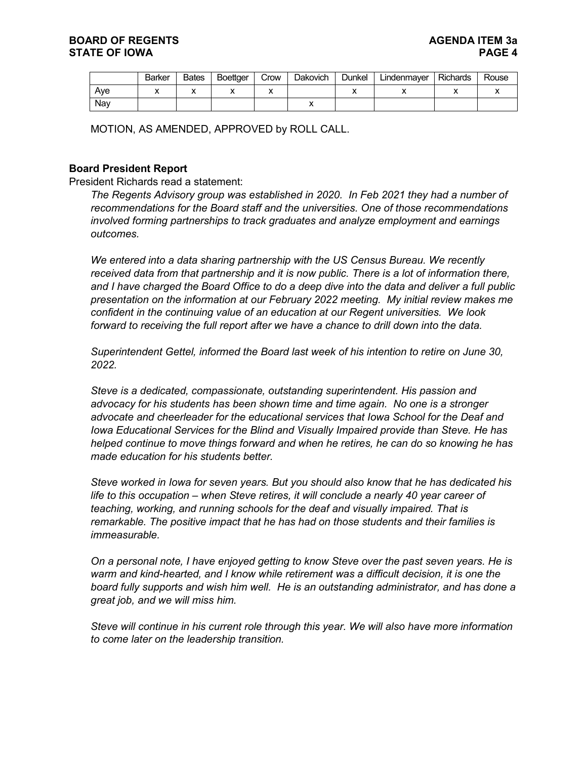|     | <b>Barker</b> | <b>Bates</b> | <b>Boettaer</b> | Crow | Dakovich | Dunkel | ∟indenmayer | Richards | Rouse |
|-----|---------------|--------------|-----------------|------|----------|--------|-------------|----------|-------|
| Ave |               | ́            |                 |      |          |        |             |          |       |
| Nav |               |              |                 |      |          |        |             |          |       |

MOTION, AS AMENDED, APPROVED by ROLL CALL.

# **Board President Report**

President Richards read a statement:

*The Regents Advisory group was established in 2020. In Feb 2021 they had a number of recommendations for the Board staff and the universities. One of those recommendations involved forming partnerships to track graduates and analyze employment and earnings outcomes.*

*We entered into a data sharing partnership with the US Census Bureau. We recently received data from that partnership and it is now public. There is a lot of information there, and I have charged the Board Office to do a deep dive into the data and deliver a full public presentation on the information at our February 2022 meeting. My initial review makes me confident in the continuing value of an education at our Regent universities. We look forward to receiving the full report after we have a chance to drill down into the data.*

*Superintendent Gettel, informed the Board last week of his intention to retire on June 30, 2022.*

*Steve is a dedicated, compassionate, outstanding superintendent. His passion and advocacy for his students has been shown time and time again. No one is a stronger advocate and cheerleader for the educational services that Iowa School for the Deaf and Iowa Educational Services for the Blind and Visually Impaired provide than Steve. He has helped continue to move things forward and when he retires, he can do so knowing he has made education for his students better.*

*Steve worked in Iowa for seven years. But you should also know that he has dedicated his life to this occupation – when Steve retires, it will conclude a nearly 40 year career of teaching, working, and running schools for the deaf and visually impaired. That is remarkable. The positive impact that he has had on those students and their families is immeasurable.*

*On a personal note, I have enjoyed getting to know Steve over the past seven years. He is warm and kind-hearted, and I know while retirement was a difficult decision, it is one the board fully supports and wish him well. He is an outstanding administrator, and has done a great job, and we will miss him.*

*Steve will continue in his current role through this year. We will also have more information to come later on the leadership transition.*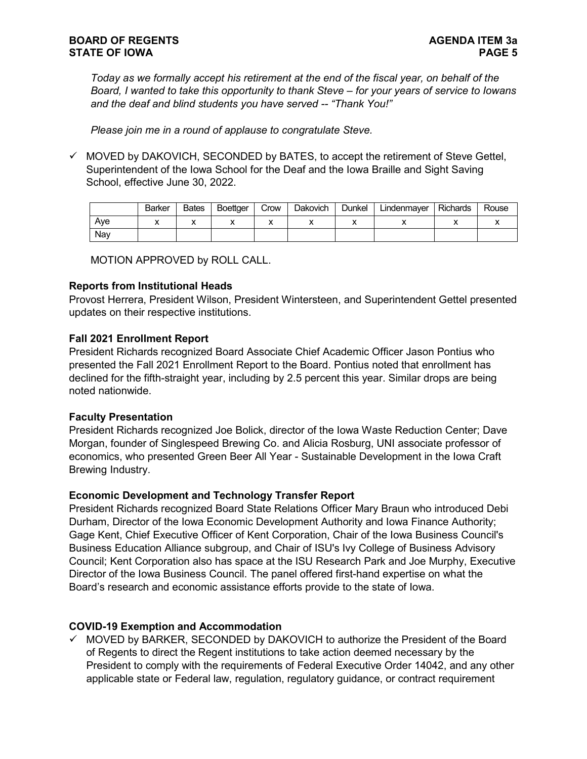*Today as we formally accept his retirement at the end of the fiscal year, on behalf of the Board, I wanted to take this opportunity to thank Steve – for your years of service to Iowans and the deaf and blind students you have served -- "Thank You!"*

*Please join me in a round of applause to congratulate Steve.*

 $\checkmark$  MOVED by DAKOVICH, SECONDED by BATES, to accept the retirement of Steve Gettel, Superintendent of the Iowa School for the Deaf and the Iowa Braille and Sight Saving School, effective June 30, 2022.

|     | <b>Barker</b> | <b>Bates</b> | <b>Boettaer</b> | Crow | <b>Dakovich</b> | Dunkel | Lindenmayer | <b>Richards</b> | Rouse |
|-----|---------------|--------------|-----------------|------|-----------------|--------|-------------|-----------------|-------|
| Ave |               | ,,           |                 |      |                 |        |             | ↗               |       |
| Nav |               |              |                 |      |                 |        |             |                 |       |

MOTION APPROVED by ROLL CALL.

#### **Reports from Institutional Heads**

Provost Herrera, President Wilson, President Wintersteen, and Superintendent Gettel presented updates on their respective institutions.

# **Fall 2021 Enrollment Report**

President Richards recognized Board Associate Chief Academic Officer Jason Pontius who presented the Fall 2021 Enrollment Report to the Board. Pontius noted that enrollment has declined for the fifth-straight year, including by 2.5 percent this year. Similar drops are being noted nationwide.

# **Faculty Presentation**

President Richards recognized Joe Bolick, director of the Iowa Waste Reduction Center; Dave Morgan, founder of Singlespeed Brewing Co. and Alicia Rosburg, UNI associate professor of economics, who presented Green Beer All Year - Sustainable Development in the Iowa Craft Brewing Industry.

# **Economic Development and Technology Transfer Report**

President Richards recognized Board State Relations Officer Mary Braun who introduced Debi Durham, Director of the Iowa Economic Development Authority and Iowa Finance Authority; Gage Kent, Chief Executive Officer of Kent Corporation, Chair of the Iowa Business Council's Business Education Alliance subgroup, and Chair of ISU's Ivy College of Business Advisory Council; Kent Corporation also has space at the ISU Research Park and Joe Murphy, Executive Director of the Iowa Business Council. The panel offered first-hand expertise on what the Board's research and economic assistance efforts provide to the state of Iowa.

# **COVID-19 Exemption and Accommodation**

 $\checkmark$  MOVED by BARKER, SECONDED by DAKOVICH to authorize the President of the Board of Regents to direct the Regent institutions to take action deemed necessary by the President to comply with the requirements of Federal Executive Order 14042, and any other applicable state or Federal law, regulation, regulatory guidance, or contract requirement